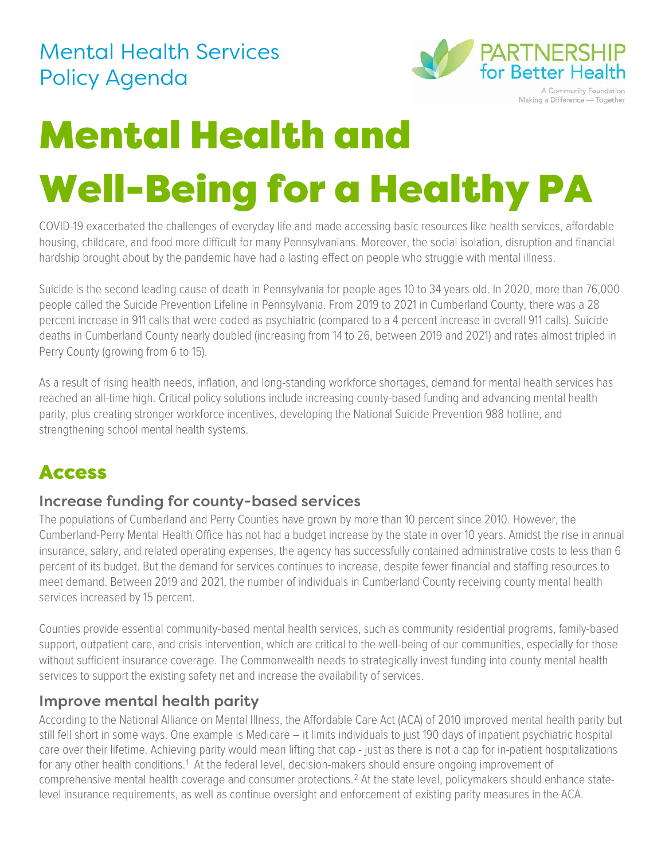## Mental Health Services Policy Agenda



A Community Foundation Making a Difference - Together

# Mental Health and Well-Being for a Healthy PA

COVID-19 exacerbated the challenges of everyday life and made accessing basic resources like health services, affordable housing, childcare, and food more difficult for many Pennsylvanians. Moreover, the social isolation, disruption and financial hardship brought about by the pandemic have had a lasting effect on people who struggle with mental illness.

Suicide is the second leading cause of death in Pennsylvania for people ages 10 to 34 years old. In 2020, more than 76,000 people called the Suicide Prevention Lifeline in Pennsylvania. From 2019 to 2021 in Cumberland County, there was a 28 percent increase in 911 calls that were coded as psychiatric (compared to a 4 percent increase in overall 911 calls). Suicide deaths in Cumberland County nearly doubled (increasing from 14 to 26, between 2019 and 2021) and rates almost tripled in Perry County (growing from 6 to 15).

As a result of rising health needs, inflation, and long-standing workforce shortages, demand for mental health services has reached an all-time high. Critical policy solutions include increasing county-based funding and advancing mental health parity, plus creating stronger workforce incentives, developing the National Suicide Prevention 988 hotline, and strengthening school mental health systems.

### Access

#### Increase funding for county-based services

The populations of Cumberland and Perry Counties have grown by more than 10 percent since 2010. However, the Cumberland-Perry Mental Health Office has not had a budget increase by the state in over 10 years. Amidst the rise in annual insurance, salary, and related operating expenses, the agency has successfully contained administrative costs to less than 6 percent of its budget. But the demand for services continues to increase, despite fewer financial and staffing resources to meet demand. Between 2019 and 2021, the number of individuals in Cumberland County receiving county mental health services increased by 15 percent.

Counties provide essential community-based mental health services, such as community residential programs, family-based support, outpatient care, and crisis intervention, which are critical to the well-being of our communities, especially for those without sufficient insurance coverage. The Commonwealth needs to strategically invest funding into county mental health services to support the existing safety net and increase the availability of services.

#### Improve mental health parity

According to the National Alliance on Mental Illness, the Affordable Care Act (ACA) of 2010 improved mental health parity but still fell short in some ways. One example is Medicare – it limits individuals to just 190 days of inpatient psychiatric hospital care over their lifetime. Achieving parity would mean lifting that cap - just as there is not a cap for in-patient hospitalizations for any other health conditions.<sup>[1](#page-1-0)</sup> At the federal level, decision-makers should ensure ongoing improvement of comprehensive mental health coverage and consumer protections.[2](#page-1-1) At the state level, policymakers should enhance statelevel insurance requirements, as well as continue oversight and enforcement of existing parity measures in the ACA.